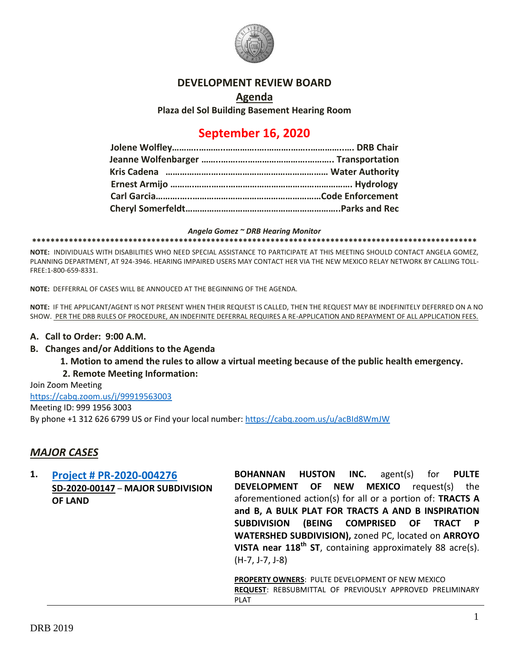

### **DEVELOPMENT REVIEW BOARD**

#### **Agenda**

**Plaza del Sol Building Basement Hearing Room**

# **September 16, 2020**

#### *Angela Gomez ~ DRB Hearing Monitor*

**\*\*\*\*\*\*\*\*\*\*\*\*\*\*\*\*\*\*\*\*\*\*\*\*\*\*\*\*\*\*\*\*\*\*\*\*\*\*\*\*\*\*\*\*\*\*\*\*\*\*\*\*\*\*\*\*\*\*\*\*\*\*\*\*\*\*\*\*\*\*\*\*\*\*\*\*\*\*\*\*\*\*\*\*\*\*\*\*\*\*\*\*\*\*\*\*\***

**NOTE:** INDIVIDUALS WITH DISABILITIES WHO NEED SPECIAL ASSISTANCE TO PARTICIPATE AT THIS MEETING SHOULD CONTACT ANGELA GOMEZ, PLANNING DEPARTMENT, AT 924-3946. HEARING IMPAIRED USERS MAY CONTACT HER VIA THE NEW MEXICO RELAY NETWORK BY CALLING TOLL-FREE:1-800-659-8331.

**NOTE:** DEFFERRAL OF CASES WILL BE ANNOUCED AT THE BEGINNING OF THE AGENDA.

**NOTE:** IF THE APPLICANT/AGENT IS NOT PRESENT WHEN THEIR REQUEST IS CALLED, THEN THE REQUEST MAY BE INDEFINITELY DEFERRED ON A NO SHOW. PER THE DRB RULES OF PROCEDURE, AN INDEFINITE DEFERRAL REQUIRES A RE-APPLICATION AND REPAYMENT OF ALL APPLICATION FEES.

#### **A. Call to Order: 9:00 A.M.**

#### **B. Changes and/or Additions to the Agenda**

**1. Motion to amend the rules to allow a virtual meeting because of the public health emergency.** 

#### **2. Remote Meeting Information:**

Join Zoom Meeting <https://cabq.zoom.us/j/99919563003> Meeting ID: 999 1956 3003 By phone +1 312 626 6799 US or Find your local number[: https://cabq.zoom.us/u/acBId8WmJW](https://cabq.zoom.us/u/acBId8WmJW)

### *MAJOR CASES*

| 1. | <b>Project # PR-2020-004276</b>   | INC.<br><b>HUSTON</b><br>agent(s)<br>for<br>BOHANNAN<br><b>PULTE</b> |
|----|-----------------------------------|----------------------------------------------------------------------|
|    | SD-2020-00147 - MAJOR SUBDIVISION | DEVELOPMENT OF NEW<br><b>MEXICO</b><br>the<br>request(s)             |
|    | <b>OF LAND</b>                    | aforementioned action(s) for all or a portion of: TRACTS A           |
|    |                                   | and B, A BULK PLAT FOR TRACTS A AND B INSPIRATION                    |
|    |                                   | (BEING COMPRISED OF TRACT P<br><b>SUBDIVISION</b>                    |
|    |                                   | WATERSHED SUBDIVISION), zoned PC, located on ARROYO                  |
|    |                                   | VISTA near $118th$ ST, containing approximately 88 acre(s).          |
|    |                                   | $(H-7, J-7, J-8)$                                                    |
|    |                                   |                                                                      |
|    |                                   | <b>PROPERTY OWNERS: PULTE DEVELOPMENT OF NEW MEXICO</b>              |
|    |                                   | <b>REQUEST: REBSUBMITTAL OF PREVIOUSLY APPROVED PRELIMINARY</b>      |
|    |                                   | <b>PLAT</b>                                                          |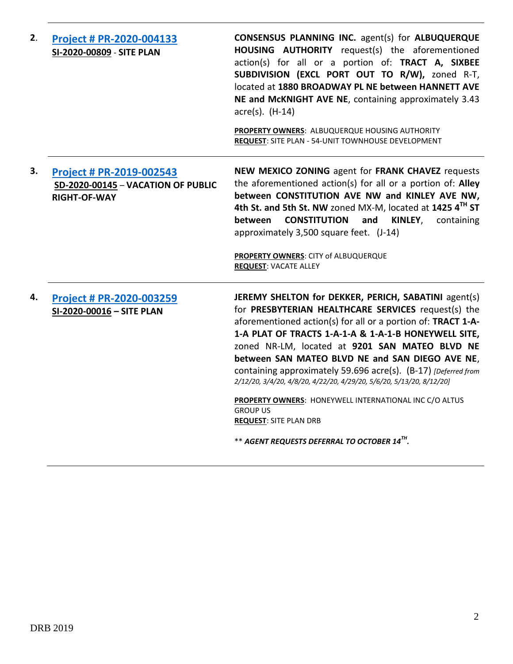| 2. | Project # PR-2020-004133<br>SI-2020-00809 - SITE PLAN                                 | <b>CONSENSUS PLANNING INC.</b> agent(s) for <b>ALBUQUERQUE</b><br>HOUSING AUTHORITY request(s) the aforementioned<br>action(s) for all or a portion of: TRACT A, SIXBEE<br>SUBDIVISION (EXCL PORT OUT TO R/W), zoned R-T,<br>located at 1880 BROADWAY PL NE between HANNETT AVE<br>NE and McKNIGHT AVE NE, containing approximately 3.43<br>$\arccos$ . (H-14)<br>PROPERTY OWNERS: ALBUQUERQUE HOUSING AUTHORITY<br>REQUEST: SITE PLAN - 54-UNIT TOWNHOUSE DEVELOPMENT                                                                                                                                                                                       |
|----|---------------------------------------------------------------------------------------|--------------------------------------------------------------------------------------------------------------------------------------------------------------------------------------------------------------------------------------------------------------------------------------------------------------------------------------------------------------------------------------------------------------------------------------------------------------------------------------------------------------------------------------------------------------------------------------------------------------------------------------------------------------|
| З. | Project # PR-2019-002543<br>SD-2020-00145 - VACATION OF PUBLIC<br><b>RIGHT-OF-WAY</b> | NEW MEXICO ZONING agent for FRANK CHAVEZ requests<br>the aforementioned action(s) for all or a portion of: Alley<br>between CONSTITUTION AVE NW and KINLEY AVE NW,<br>4th St. and 5th St. NW zoned MX-M, located at 1425 4TH ST<br><b>CONSTITUTION</b><br>and<br>KINLEY,<br>between<br>containing<br>approximately 3,500 square feet. (J-14)<br>PROPERTY OWNERS: CITY of ALBUQUERQUE<br><b>REQUEST: VACATE ALLEY</b>                                                                                                                                                                                                                                         |
| 4. | Project # PR-2020-003259<br>SI-2020-00016 - SITE PLAN                                 | JEREMY SHELTON for DEKKER, PERICH, SABATINI agent(s)<br>for PRESBYTERIAN HEALTHCARE SERVICES request(s) the<br>aforementioned action(s) for all or a portion of: TRACT 1-A-<br>1-A PLAT OF TRACTS 1-A-1-A & 1-A-1-B HONEYWELL SITE,<br>zoned NR-LM, located at 9201 SAN MATEO BLVD NE<br>between SAN MATEO BLVD NE and SAN DIEGO AVE NE,<br>containing approximately 59.696 acre(s). (B-17) [Deferred from<br>2/12/20, 3/4/20, 4/8/20, 4/22/20, 4/29/20, 5/6/20, 5/13/20, 8/12/20]<br>PROPERTY OWNERS: HONEYWELL INTERNATIONAL INC C/O ALTUS<br><b>GROUP US</b><br><b>REQUEST: SITE PLAN DRB</b><br>** AGENT REQUESTS DEFERRAL TO OCTOBER 14 <sup>TH</sup> . |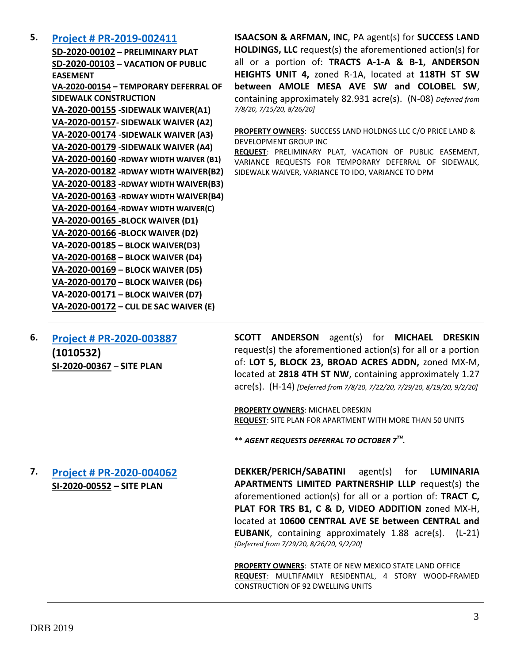### **5. [Project # PR-2019-002411](http://data.cabq.gov/government/planning/DRB/PR-2019-002411/DRB%20Submittals/PR-2019-002411_Sept_16_2020_Supplemental/Application/)**

**SD-2020-00102 – PRELIMINARY PLAT SD-2020-00103 – VACATION OF PUBLIC EASEMENT VA-2020-00154 – TEMPORARY DEFERRAL OF SIDEWALK CONSTRUCTION VA-2020-00155 -SIDEWALK WAIVER(A1) VA-2020-00157- SIDEWALK WAIVER (A2) VA-2020-00174** -**SIDEWALK WAIVER (A3) VA-2020-00179 -SIDEWALK WAIVER (A4) VA-2020-00160 -RDWAY WIDTH WAIVER (B1) VA-2020-00182 -RDWAY WIDTH WAIVER(B2) VA-2020-00183 -RDWAY WIDTH WAIVER(B3) VA-2020-00163 -RDWAY WIDTH WAIVER(B4) VA-2020-00164 -RDWAY WIDTH WAIVER(C) VA-2020-00165 -BLOCK WAIVER (D1) VA-2020-00166 -BLOCK WAIVER (D2) VA-2020-00185 – BLOCK WAIVER(D3) VA-2020-00168 – BLOCK WAIVER (D4) VA-2020-00169 – BLOCK WAIVER (D5) VA-2020-00170 – BLOCK WAIVER (D6) VA-2020-00171 – BLOCK WAIVER (D7) VA-2020-00172 – CUL DE SAC WAIVER (E)**

**ISAACSON & ARFMAN, INC**, PA agent(s) for **SUCCESS LAND HOLDINGS, LLC** request(s) the aforementioned action(s) for all or a portion of: **TRACTS A-1-A & B-1, ANDERSON HEIGHTS UNIT 4,** zoned R-1A, located at **118TH ST SW between AMOLE MESA AVE SW and COLOBEL SW**, containing approximately 82.931 acre(s). (N-08) *Deferred from 7/8/20, 7/15/20, 8/26/20]*

**PROPERTY OWNERS**: SUCCESS LAND HOLDNGS LLC C/O PRICE LAND & DEVELOPMENT GROUP INC

**REQUEST**: PRELIMINARY PLAT, VACATION OF PUBLIC EASEMENT, VARIANCE REQUESTS FOR TEMPORARY DEFERRAL OF SIDEWALK, SIDEWALK WAIVER, VARIANCE TO IDO, VARIANCE TO DPM

**6. [Project # PR-2020-003887](http://data.cabq.gov/government/planning/DRB/PR-2020-003887/DRB%20Submittals/PR-2020-003887_Jul_29_2020_Supp/) (1010532) SI-2020-00367** – **SITE PLAN**

**SCOTT ANDERSON** agent(s) for **MICHAEL DRESKIN** request(s) the aforementioned action(s) for all or a portion of: **LOT 5, BLOCK 23, BROAD ACRES ADDN,** zoned MX-M, located at **2818 4TH ST NW**, containing approximately 1.27 acre(s). (H-14) *[Deferred from 7/8/20, 7/22/20, 7/29/20, 8/19/20, 9/2/20]*

**PROPERTY OWNERS**: MICHAEL DRESKIN **REQUEST**: SITE PLAN FOR APARTMENT WITH MORE THAN 50 UNITS

\*\* *AGENT REQUESTS DEFERRAL TO OCTOBER 7TH .*

## **7. [Project # PR-2020-004062](http://data.cabq.gov/government/planning/DRB/PR-2020-004062/DRB%20Submittals/PR-2020-004062_Sept_16_2020_Supplemental/Application/) SI-2020-00552 – SITE PLAN**

**DEKKER/PERICH/SABATINI** agent(s) for **LUMINARIA APARTMENTS LIMITED PARTNERSHIP LLLP** request(s) the aforementioned action(s) for all or a portion of: **TRACT C, PLAT FOR TRS B1, C & D, VIDEO ADDITION** zoned MX-H, located at **10600 CENTRAL AVE SE between CENTRAL and EUBANK**, containing approximately 1.88 acre(s). (L-21) *[Deferred from 7/29/20, 8/26/20, 9/2/20]*

**PROPERTY OWNERS**: STATE OF NEW MEXICO STATE LAND OFFICE **REQUEST**: MULTIFAMILY RESIDENTIAL, 4 STORY WOOD-FRAMED CONSTRUCTION OF 92 DWELLING UNITS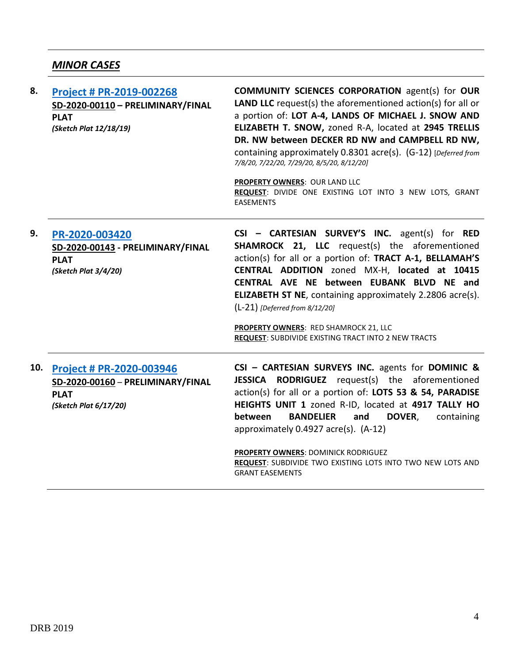# *MINOR CASES*

| 8.  | Project # PR-2019-002268<br>SD-2020-00110 - PRELIMINARY/FINAL<br><b>PLAT</b><br>(Sketch Plat 12/18/19) | <b>COMMUNITY SCIENCES CORPORATION agent(s) for OUR</b><br><b>LAND LLC</b> request(s) the aforementioned $action(s)$ for all or<br>a portion of: LOT A-4, LANDS OF MICHAEL J. SNOW AND<br>ELIZABETH T. SNOW, zoned R-A, located at 2945 TRELLIS<br>DR. NW between DECKER RD NW and CAMPBELL RD NW,<br>containing approximately 0.8301 acre(s). (G-12) [Deferred from<br>7/8/20, 7/22/20, 7/29/20, 8/5/20, 8/12/20]<br>PROPERTY OWNERS: OUR LAND LLC<br>REQUEST: DIVIDE ONE EXISTING LOT INTO 3 NEW LOTS, GRANT<br><b>EASEMENTS</b> |
|-----|--------------------------------------------------------------------------------------------------------|-----------------------------------------------------------------------------------------------------------------------------------------------------------------------------------------------------------------------------------------------------------------------------------------------------------------------------------------------------------------------------------------------------------------------------------------------------------------------------------------------------------------------------------|
| 9.  | PR-2020-003420<br>SD-2020-00143 - PRELIMINARY/FINAL<br><b>PLAT</b><br>(Sketch Plat 3/4/20)             | $CSI - CARTESIAN$ SURVEY'S INC. agent(s) for RED<br><b>SHAMROCK 21, LLC</b> request(s) the aforementioned<br>action(s) for all or a portion of: TRACT A-1, BELLAMAH'S<br>CENTRAL ADDITION zoned MX-H, located at 10415<br>CENTRAL AVE NE between EUBANK BLVD NE and<br><b>ELIZABETH ST NE, containing approximately 2.2806 acre(s).</b><br>$(L-21)$ [Deferred from 8/12/20]<br>PROPERTY OWNERS: RED SHAMROCK 21, LLC<br><b>REQUEST: SUBDIVIDE EXISTING TRACT INTO 2 NEW TRACTS</b>                                                |
| 10. | Project # PR-2020-003946<br>SD-2020-00160 - PRELIMINARY/FINAL<br><b>PLAT</b><br>(Sketch Plat 6/17/20)  | CSI - CARTESIAN SURVEYS INC. agents for DOMINIC &<br>JESSICA RODRIGUEZ request(s) the aforementioned<br>action(s) for all or a portion of: LOTS 53 & 54, PARADISE<br>HEIGHTS UNIT 1 zoned R-ID, located at 4917 TALLY HO<br><b>BANDELIER</b><br>and<br>DOVER,<br>containing<br>between<br>approximately 0.4927 acre(s). (A-12)<br>PROPERTY OWNERS: DOMINICK RODRIGUEZ<br>REQUEST: SUBDIVIDE TWO EXISTING LOTS INTO TWO NEW LOTS AND<br><b>GRANT EASEMENTS</b>                                                                     |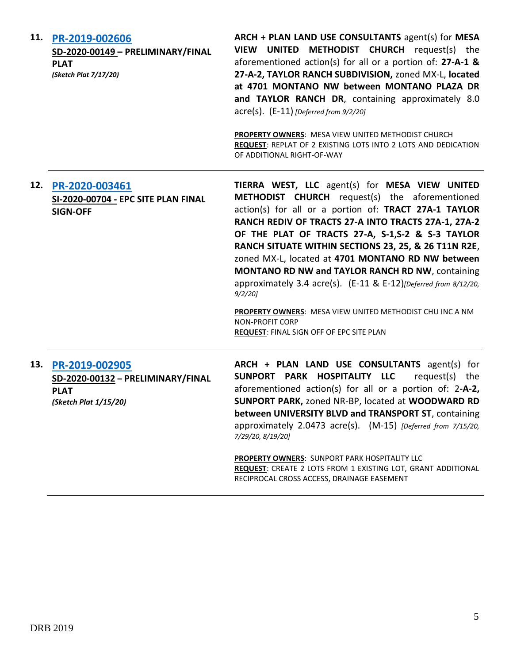| 11. | PR-2019-002606<br>SD-2020-00149 - PRELIMINARY/FINAL<br><b>PLAT</b><br>(Sketch Plat 7/17/20)     | ARCH + PLAN LAND USE CONSULTANTS agent(s) for MESA<br>VIEW UNITED METHODIST CHURCH request(s) the<br>aforementioned action(s) for all or a portion of: 27-A-1 &<br>27-A-2, TAYLOR RANCH SUBDIVISION, zoned MX-L, located<br>at 4701 MONTANO NW between MONTANO PLAZA DR<br>and TAYLOR RANCH DR, containing approximately 8.0<br>$\text{acre}(s)$ . $(E-11)$ [Deferred from 9/2/20]<br><b>PROPERTY OWNERS: MESA VIEW UNITED METHODIST CHURCH</b><br>REQUEST: REPLAT OF 2 EXISTING LOTS INTO 2 LOTS AND DEDICATION<br>OF ADDITIONAL RIGHT-OF-WAY                                                                                                                                |
|-----|-------------------------------------------------------------------------------------------------|-------------------------------------------------------------------------------------------------------------------------------------------------------------------------------------------------------------------------------------------------------------------------------------------------------------------------------------------------------------------------------------------------------------------------------------------------------------------------------------------------------------------------------------------------------------------------------------------------------------------------------------------------------------------------------|
| 12. | PR-2020-003461<br>SI-2020-00704 - EPC SITE PLAN FINAL<br><b>SIGN-OFF</b>                        | TIERRA WEST, LLC agent(s) for MESA VIEW UNITED<br><b>METHODIST CHURCH</b> request(s) the aforementioned<br>action(s) for all or a portion of: TRACT 27A-1 TAYLOR<br>RANCH REDIV OF TRACTS 27-A INTO TRACTS 27A-1, 27A-2<br>OF THE PLAT OF TRACTS 27-A, S-1,S-2 & S-3 TAYLOR<br>RANCH SITUATE WITHIN SECTIONS 23, 25, & 26 T11N R2E,<br>zoned MX-L, located at 4701 MONTANO RD NW between<br><b>MONTANO RD NW and TAYLOR RANCH RD NW, containing</b><br>approximately 3.4 acre(s). (E-11 & E-12)[Deferred from 8/12/20,<br>$9/2/20$ ]<br>PROPERTY OWNERS: MESA VIEW UNITED METHODIST CHU INC A NM<br><b>NON-PROFIT CORP</b><br><b>REQUEST: FINAL SIGN OFF OF EPC SITE PLAN</b> |
|     | 13. PR-2019-002905<br>SD-2020-00132 - PRELIMINARY/FINAL<br><b>PLAT</b><br>(Sketch Plat 1/15/20) | ARCH + PLAN LAND USE CONSULTANTS agent(s) for<br>SUNPORT PARK HOSPITALITY LLC<br>request(s) the<br>aforementioned action(s) for all or a portion of: 2-A-2,<br>SUNPORT PARK, zoned NR-BP, located at WOODWARD RD<br>between UNIVERSITY BLVD and TRANSPORT ST, containing<br>approximately 2.0473 acre(s). (M-15) [Deferred from 7/15/20,<br>7/29/20, 8/19/20]<br><b>PROPERTY OWNERS: SUNPORT PARK HOSPITALITY LLC</b><br>REQUEST: CREATE 2 LOTS FROM 1 EXISTING LOT, GRANT ADDITIONAL                                                                                                                                                                                         |

RECIPROCAL CROSS ACCESS, DRAINAGE EASEMENT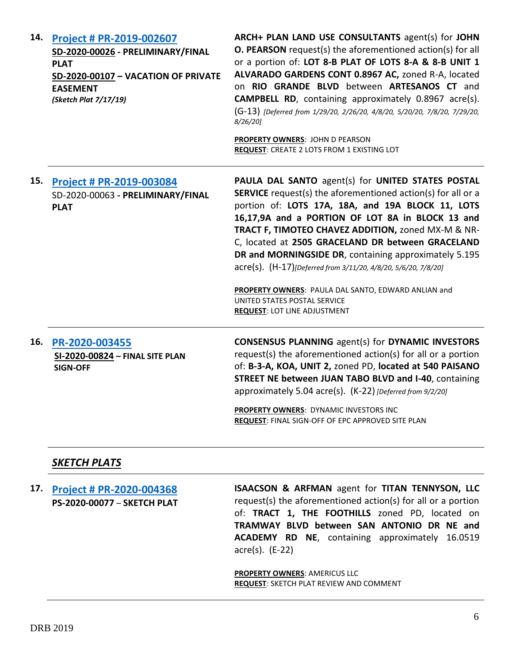| 14. | Project # PR-2019-002607<br>SD-2020-00026 - PRELIMINARY/FINAL<br><b>PLAT</b><br>SD-2020-00107 - VACATION OF PRIVATE<br><b>EASEMENT</b><br>(Sketch Plat 7/17/19) | ARCH+ PLAN LAND USE CONSULTANTS agent(s) for JOHN<br><b>O. PEARSON</b> request(s) the aforementioned action(s) for all<br>or a portion of: LOT 8-B PLAT OF LOTS 8-A & 8-B UNIT 1<br>ALVARADO GARDENS CONT 0.8967 AC, zoned R-A, located<br>on RIO GRANDE BLVD between ARTESANOS CT and<br><b>CAMPBELL RD</b> , containing approximately 0.8967 acre(s).<br>(G-13) [Deferred from 1/29/20, 2/26/20, 4/8/20, 5/20/20, 7/8/20, 7/29/20,<br>$8/26/20$ ]<br><b>PROPERTY OWNERS: JOHN D PEARSON</b><br>REQUEST: CREATE 2 LOTS FROM 1 EXISTING LOT                                                                  |
|-----|-----------------------------------------------------------------------------------------------------------------------------------------------------------------|--------------------------------------------------------------------------------------------------------------------------------------------------------------------------------------------------------------------------------------------------------------------------------------------------------------------------------------------------------------------------------------------------------------------------------------------------------------------------------------------------------------------------------------------------------------------------------------------------------------|
| 15. | <b>Project # PR-2019-003084</b><br>SD-2020-00063 - PRELIMINARY/FINAL<br><b>PLAT</b>                                                                             | <b>PAULA DAL SANTO agent(s) for UNITED STATES POSTAL</b><br><b>SERVICE</b> request(s) the aforementioned action(s) for all or a<br>portion of: LOTS 17A, 18A, and 19A BLOCK 11, LOTS<br>16,17,9A and a PORTION OF LOT 8A in BLOCK 13 and<br>TRACT F, TIMOTEO CHAVEZ ADDITION, zoned MX-M & NR-<br>C, located at 2505 GRACELAND DR between GRACELAND<br>DR and MORNINGSIDE DR, containing approximately 5.195<br>acre(s). (H-17)[Deferred from 3/11/20, 4/8/20, 5/6/20, 7/8/20]<br>PROPERTY OWNERS: PAULA DAL SANTO, EDWARD ANLIAN and<br>UNITED STATES POSTAL SERVICE<br><b>REQUEST: LOT LINE ADJUSTMENT</b> |
| 16. | PR-2020-003455<br>SI-2020-00824 - FINAL SITE PLAN<br><b>SIGN-OFF</b><br><b>SKETCH PLATS</b>                                                                     | <b>CONSENSUS PLANNING agent(s) for DYNAMIC INVESTORS</b><br>request(s) the aforementioned action(s) for all or a portion<br>of: B-3-A, KOA, UNIT 2, zoned PD, located at 540 PAISANO<br><b>STREET NE between JUAN TABO BLVD and I-40, containing</b><br>approximately 5.04 acre(s). (K-22) [Deferred from 9/2/20]<br>PROPERTY OWNERS: DYNAMIC INVESTORS INC<br><b>REQUEST: FINAL SIGN-OFF OF EPC APPROVED SITE PLAN</b>                                                                                                                                                                                      |

**17. [Project # PR-2020-004368](http://data.cabq.gov/government/planning/DRB/PR-2020-004368/DRB%20Submittals/PR-2020-004368_Sept_16_2020/2336%20Allaso_Sketch%20plat.pdf) PS-2020-00077** – **SKETCH PLAT ISAACSON & ARFMAN** agent for **TITAN TENNYSON, LLC** request(s) the aforementioned action(s) for all or a portion of: **TRACT 1, THE FOOTHILLS** zoned PD, located on **TRAMWAY BLVD between SAN ANTONIO DR NE and ACADEMY RD NE**, containing approximately 16.0519 acre(s). (E-22)

> **PROPERTY OWNERS**: AMERICUS LLC **REQUEST**: SKETCH PLAT REVIEW AND COMMENT